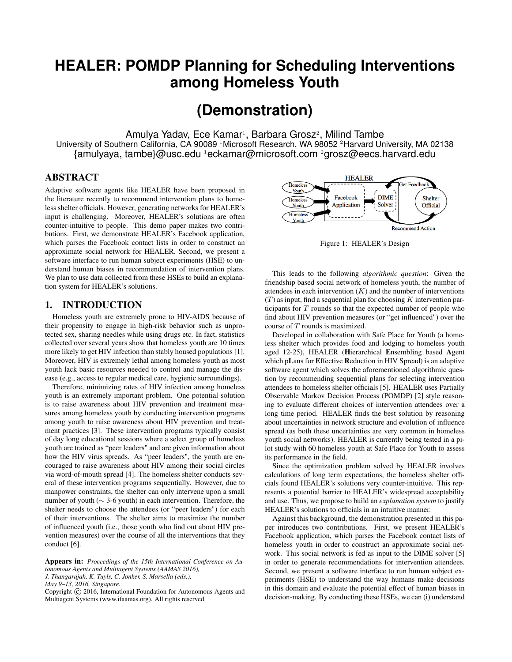# **HEALER: POMDP Planning for Scheduling Interventions among Homeless Youth**

## **(Demonstration)**

Amulya Yadav, Ece Kamar<sup>1</sup>, Barbara Grosz<sup>2</sup>, Milind Tambe University of Southern California, CA 90089 <sup>1</sup>Microsoft Research, WA 98052 <sup>2</sup>Harvard University, MA 02138 {amulyaya, tambe}@usc.edu <sup>1</sup>eckamar@microsoft.com <sup>2</sup>grosz@eecs.harvard.edu

### ABSTRACT

Adaptive software agents like HEALER have been proposed in the literature recently to recommend intervention plans to homeless shelter officials. However, generating networks for HEALER's input is challenging. Moreover, HEALER's solutions are often counter-intuitive to people. This demo paper makes two contributions. First, we demonstrate HEALER's Facebook application, which parses the Facebook contact lists in order to construct an approximate social network for HEALER. Second, we present a software interface to run human subject experiments (HSE) to understand human biases in recommendation of intervention plans. We plan to use data collected from these HSEs to build an explanation system for HEALER's solutions.

#### 1. INTRODUCTION

Homeless youth are extremely prone to HIV-AIDS because of their propensity to engage in high-risk behavior such as unprotected sex, sharing needles while using drugs etc. In fact, statistics collected over several years show that homeless youth are 10 times more likely to get HIV infection than stably housed populations [1]. Moreover, HIV is extremely lethal among homeless youth as most youth lack basic resources needed to control and manage the disease (e.g., access to regular medical care, hygienic surroundings).

Therefore, minimizing rates of HIV infection among homeless youth is an extremely important problem. One potential solution is to raise awareness about HIV prevention and treatment measures among homeless youth by conducting intervention programs among youth to raise awareness about HIV prevention and treatment practices [3]. These intervention programs typically consist of day long educational sessions where a select group of homeless youth are trained as "peer leaders" and are given information about how the HIV virus spreads. As "peer leaders", the youth are encouraged to raise awareness about HIV among their social circles via word-of-mouth spread [4]. The homeless shelter conducts several of these intervention programs sequentially. However, due to manpower constraints, the shelter can only intervene upon a small number of youth (∼ 3-6 youth) in each intervention. Therefore, the shelter needs to choose the attendees (or "peer leaders") for each of their interventions. The shelter aims to maximize the number of influenced youth (i.e., those youth who find out about HIV prevention measures) over the course of all the interventions that they conduct [6].

Appears in: *Proceedings of the 15th International Conference on Autonomous Agents and Multiagent Systems (AAMAS 2016), J. Thangarajah, K. Tuyls, C. Jonker, S. Marsella (eds.),*

*May 9–13, 2016, Singapore.*

Copyright (C) 2016, International Foundation for Autonomous Agents and Multiagent Systems (www.ifaamas.org). All rights reserved.



Figure 1: HEALER's Design

This leads to the following *algorithmic question*: Given the friendship based social network of homeless youth, the number of attendees in each intervention  $(K)$  and the number of interventions  $(T)$  as input, find a sequential plan for choosing K intervention participants for  $T$  rounds so that the expected number of people who find about HIV prevention measures (or "get influenced") over the course of T rounds is maximized.

Developed in collaboration with Safe Place for Youth (a homeless shelter which provides food and lodging to homeless youth aged 12-25), HEALER (Hierarchical Ensembling based Agent which pLans for Effective Reduction in HIV Spread) is an adaptive software agent which solves the aforementioned algorithmic question by recommending sequential plans for selecting intervention attendees to homeless shelter officials [5]. HEALER uses Partially Observable Markov Decision Process (POMDP) [2] style reasoning to evaluate different choices of intervention attendees over a long time period. HEALER finds the best solution by reasoning about uncertainties in network structure and evolution of influence spread (as both these uncertainties are very common in homeless youth social networks). HEALER is currently being tested in a pilot study with 60 homeless youth at Safe Place for Youth to assess its performance in the field.

Since the optimization problem solved by HEALER involves calculations of long term expectations, the homeless shelter officials found HEALER's solutions very counter-intuitive. This represents a potential barrier to HEALER's widespread acceptability and use. Thus, we propose to build an *explanation system* to justify HEALER's solutions to officials in an intuitive manner.

Against this background, the demonstration presented in this paper introduces two contributions. First, we present HEALER's Facebook application, which parses the Facebook contact lists of homeless youth in order to construct an approximate social network. This social network is fed as input to the DIME solver [5] in order to generate recommendations for intervention attendees. Second, we present a software interface to run human subject experiments (HSE) to understand the way humans make decisions in this domain and evaluate the potential effect of human biases in decision-making. By conducting these HSEs, we can (i) understand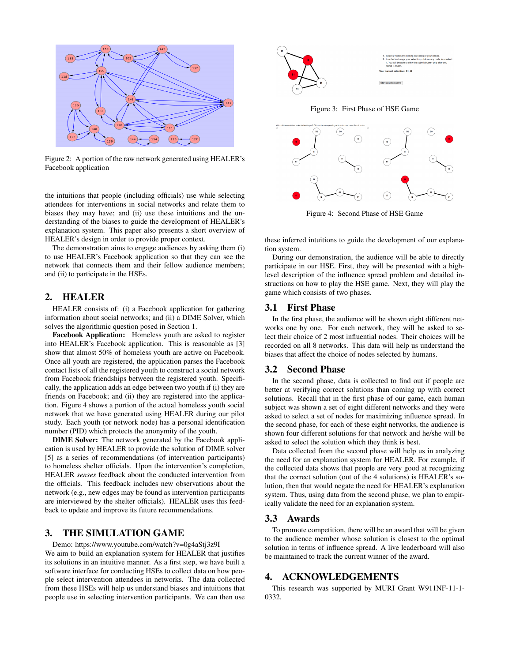

Figure 2: A portion of the raw network generated using HEALER's Facebook application

the intuitions that people (including officials) use while selecting attendees for interventions in social networks and relate them to biases they may have; and (ii) use these intuitions and the understanding of the biases to guide the development of HEALER's explanation system. This paper also presents a short overview of HEALER's design in order to provide proper context.

The demonstration aims to engage audiences by asking them (i) to use HEALER's Facebook application so that they can see the network that connects them and their fellow audience members; and (ii) to participate in the HSEs.

#### 2. HEALER

HEALER consists of: (i) a Facebook application for gathering information about social networks; and (ii) a DIME Solver, which solves the algorithmic question posed in Section 1.

Facebook Application: Homeless youth are asked to register into HEALER's Facebook application. This is reasonable as [3] show that almost 50% of homeless youth are active on Facebook. Once all youth are registered, the application parses the Facebook contact lists of all the registered youth to construct a social network from Facebook friendships between the registered youth. Specifically, the application adds an edge between two youth if (i) they are friends on Facebook; and (ii) they are registered into the application. Figure 4 shows a portion of the actual homeless youth social network that we have generated using HEALER during our pilot study. Each youth (or network node) has a personal identification number (PID) which protects the anonymity of the youth.

DIME Solver: The network generated by the Facebook application is used by HEALER to provide the solution of DIME solver [5] as a series of recommendations (of intervention participants) to homeless shelter officials. Upon the intervention's completion, HEALER *senses* feedback about the conducted intervention from the officials. This feedback includes new observations about the network (e.g., new edges may be found as intervention participants are interviewed by the shelter officials). HEALER uses this feedback to update and improve its future recommendations.

### 3. THE SIMULATION GAME

Demo: https://www.youtube.com/watch?v=0g4aStj3z9I We aim to build an explanation system for HEALER that justifies its solutions in an intuitive manner. As a first step, we have built a software interface for conducting HSEs to collect data on how people select intervention attendees in networks. The data collected from these HSEs will help us understand biases and intuitions that people use in selecting intervention participants. We can then use





Figure 4: Second Phase of HSE Game

these inferred intuitions to guide the development of our explanation system.

During our demonstration, the audience will be able to directly participate in our HSE. First, they will be presented with a highlevel description of the influence spread problem and detailed instructions on how to play the HSE game. Next, they will play the game which consists of two phases.

#### 3.1 First Phase

In the first phase, the audience will be shown eight different networks one by one. For each network, they will be asked to select their choice of 2 most influential nodes. Their choices will be recorded on all 8 networks. This data will help us understand the biases that affect the choice of nodes selected by humans.

#### 3.2 Second Phase

In the second phase, data is collected to find out if people are better at verifying correct solutions than coming up with correct solutions. Recall that in the first phase of our game, each human subject was shown a set of eight different networks and they were asked to select a set of nodes for maximizing influence spread. In the second phase, for each of these eight networks, the audience is shown four different solutions for that network and he/she will be asked to select the solution which they think is best.

Data collected from the second phase will help us in analyzing the need for an explanation system for HEALER. For example, if the collected data shows that people are very good at recognizing that the correct solution (out of the 4 solutions) is HEALER's solution, then that would negate the need for HEALER's explanation system. Thus, using data from the second phase, we plan to empirically validate the need for an explanation system.

#### 3.3 Awards

To promote competition, there will be an award that will be given to the audience member whose solution is closest to the optimal solution in terms of influence spread. A live leaderboard will also be maintained to track the current winner of the award.

#### 4. ACKNOWLEDGEMENTS

This research was supported by MURI Grant W911NF-11-1- 0332.